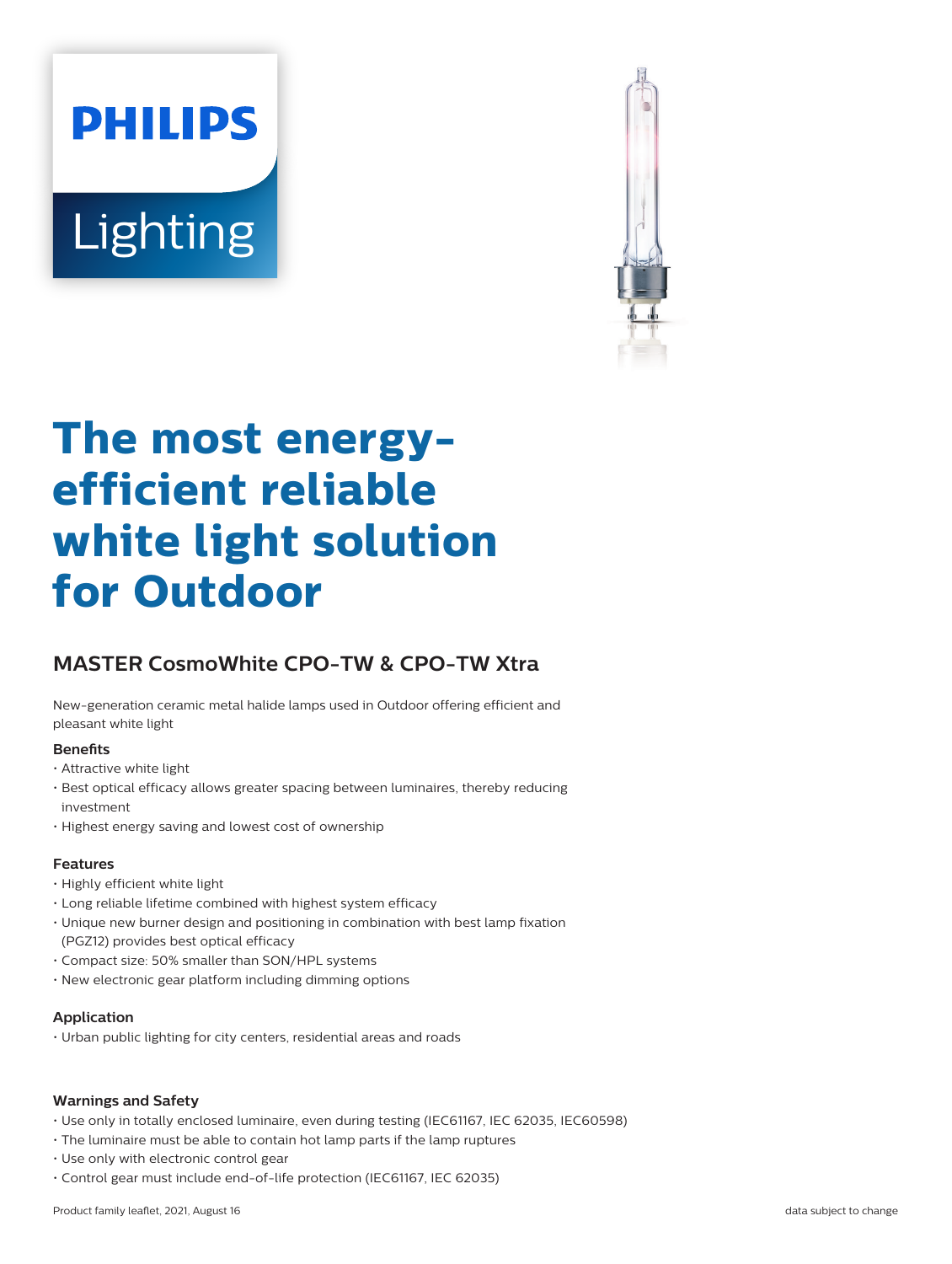# **PHILIPS Lighting**



# **The most energyefficient reliable white light solution for Outdoor**

# **MASTER CosmoWhite CPO-TW & CPO-TW Xtra**

New-generation ceramic metal halide lamps used in Outdoor offering efficient and pleasant white light

#### **Benefits**

- Attractive white light
- Best optical efficacy allows greater spacing between luminaires, thereby reducing investment
- Highest energy saving and lowest cost of ownership

#### **Features**

- Highly efficient white light
- Long reliable lifetime combined with highest system efficacy
- Unique new burner design and positioning in combination with best lamp fixation (PGZ12) provides best optical efficacy
- Compact size: 50% smaller than SON/HPL systems
- New electronic gear platform including dimming options

#### **Application**

• Urban public lighting for city centers, residential areas and roads

#### **Warnings and Safety**

- Use only in totally enclosed luminaire, even during testing (IEC61167, IEC 62035, IEC60598)
- The luminaire must be able to contain hot lamp parts if the lamp ruptures
- Use only with electronic control gear
- Control gear must include end-of-life protection (IEC61167, IEC 62035)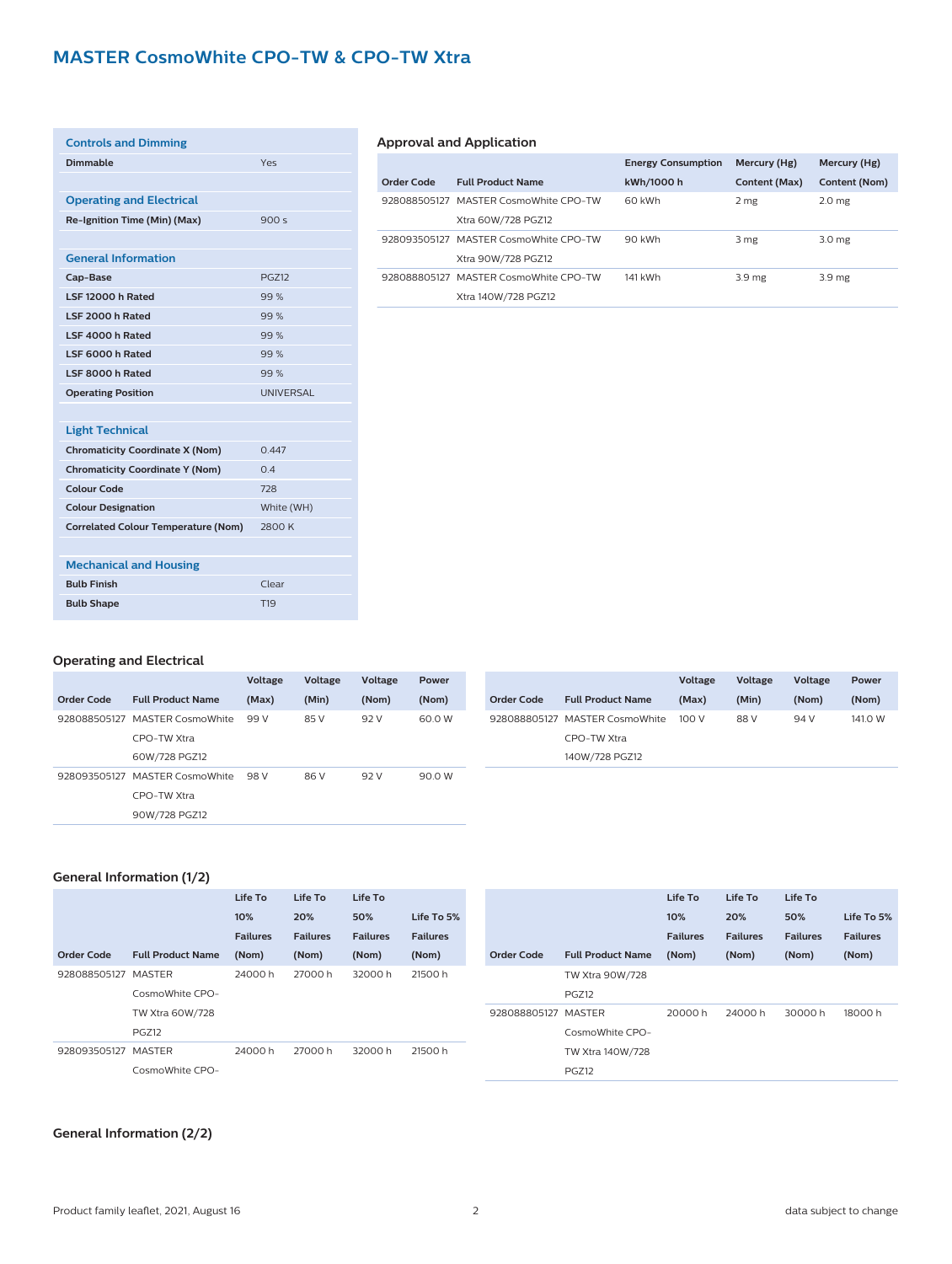## **MASTER CosmoWhite CPO-TW & CPO-TW Xtra**

| <b>Controls and Dimming</b>                |                  |
|--------------------------------------------|------------------|
| Dimmable                                   | Yes              |
|                                            |                  |
| <b>Operating and Electrical</b>            |                  |
| Re-Ignition Time (Min) (Max)               | 900 $s$          |
|                                            |                  |
| <b>General Information</b>                 |                  |
| Cap-Base                                   | <b>PGZ12</b>     |
| LSF 12000 h Rated                          | 99%              |
| LSF 2000 h Rated                           | 99%              |
| LSF 4000 h Rated                           | 99%              |
| LSF 6000 h Rated                           | 99%              |
| LSF 8000 h Rated                           | 99%              |
| <b>Operating Position</b>                  | <b>UNIVERSAL</b> |
|                                            |                  |
| <b>Light Technical</b>                     |                  |
| <b>Chromaticity Coordinate X (Nom)</b>     | 0.447            |
| <b>Chromaticity Coordinate Y (Nom)</b>     | 0.4              |
| <b>Colour Code</b>                         | 728              |
| <b>Colour Designation</b>                  | White (WH)       |
| <b>Correlated Colour Temperature (Nom)</b> | 2800 K           |
|                                            |                  |
| <b>Mechanical and Housing</b>              |                  |
| <b>Bulb Finish</b>                         | Clear            |
| <b>Bulb Shape</b>                          | T <sub>19</sub>  |

#### **Approval and Application**

|            |                                       | <b>Energy Consumption</b> | Mercury (Hg)      | Mercury (Hg)      |
|------------|---------------------------------------|---------------------------|-------------------|-------------------|
| Order Code | <b>Full Product Name</b>              | kWh/1000 h                | Content (Max)     | Content (Nom)     |
|            | 928088505127 MASTER CosmoWhite CPO-TW | 60 kWh                    | 2 mg              | 2.0 <sub>mg</sub> |
|            | Xtra 60W/728 PGZ12                    |                           |                   |                   |
|            | 928093505127 MASTER CosmoWhite CPO-TW | 90 kWh                    | 3 mg              | 3.0 <sub>mg</sub> |
|            | Xtra 90W/728 PGZ12                    |                           |                   |                   |
|            | 928088805127 MASTER CosmoWhite CPO-TW | 141 kWh                   | 3.9 <sub>mg</sub> | 3.9 <sub>mg</sub> |
|            | Xtra 140W/728 PGZ12                   |                           |                   |                   |

#### **Operating and Electrical**

|              |                          | Voltage | Voltage | Voltage | Power  |            |                                | Voltage | Voltage |
|--------------|--------------------------|---------|---------|---------|--------|------------|--------------------------------|---------|---------|
| Order Code   | <b>Full Product Name</b> | (Max)   | (Min)   | (Nom)   | (Nom)  | Order Code | <b>Full Product Name</b>       | (Max)   | (Min)   |
| 928088505127 | <b>MASTER CosmoWhite</b> | 99 V    | 85 V    | 92 V    | 60.0 W |            | 928088805127 MASTER CosmoWhite | 100 V   | 88 V    |
|              | CPO-TW Xtra              |         |         |         |        |            | CPO-TW Xtra                    |         |         |
|              | 60W/728 PGZ12            |         |         |         |        |            | 140W/728 PGZ12                 |         |         |
| 928093505127 | MASTER CosmoWhite        | 98 V    | 86 V    | 92 V    | 90.0 W |            |                                |         |         |
|              | CPO-TW Xtra              |         |         |         |        |            |                                |         |         |
|              | 90W/728 PGZ12            |         |         |         |        |            |                                |         |         |

#### **General Information (1/2)**

|              |                          | Life To         | Life To         | Life To         |                 |                     |                          | Life To         | Life To         | Life To         |                 |
|--------------|--------------------------|-----------------|-----------------|-----------------|-----------------|---------------------|--------------------------|-----------------|-----------------|-----------------|-----------------|
|              |                          | 10%             | 20%             | 50%             | Life To 5%      |                     |                          | 10%             | 20%             | 50%             | Life To 5%      |
|              |                          | <b>Failures</b> | <b>Failures</b> | <b>Failures</b> | <b>Failures</b> |                     |                          | <b>Failures</b> | <b>Failures</b> | <b>Failures</b> | <b>Failures</b> |
| Order Code   | <b>Full Product Name</b> | (Nom)           | (Nom)           | (Nom)           | (Nom)           | <b>Order Code</b>   | <b>Full Product Name</b> | (Nom)           | (Nom)           | (Nom)           | (Nom)           |
| 928088505127 | MASTER                   | 24000h          | 27000h          | 32000h          | 21500 h         |                     | TW Xtra 90W/728          |                 |                 |                 |                 |
|              | CosmoWhite CPO-          |                 |                 |                 |                 |                     | PGZ12                    |                 |                 |                 |                 |
|              | TW Xtra 60W/728          |                 |                 |                 |                 | 928088805127 MASTER |                          | 20000 h         | 24000 h         | 30000h          | 18000 h         |
|              | PGZ12                    |                 |                 |                 |                 |                     | CosmoWhite CPO-          |                 |                 |                 |                 |
| 928093505127 | MASTER                   | 24000 h         | 27000 h         | 32000 h         | 21500 h         |                     | TW Xtra 140W/728         |                 |                 |                 |                 |
|              | CosmoWhite CPO-          |                 |                 |                 |                 |                     | PGZ12                    |                 |                 |                 |                 |

#### **General Information (2/2)**

**Voltage (Nom)**

**Power (Nom)**

94 V 141.0 W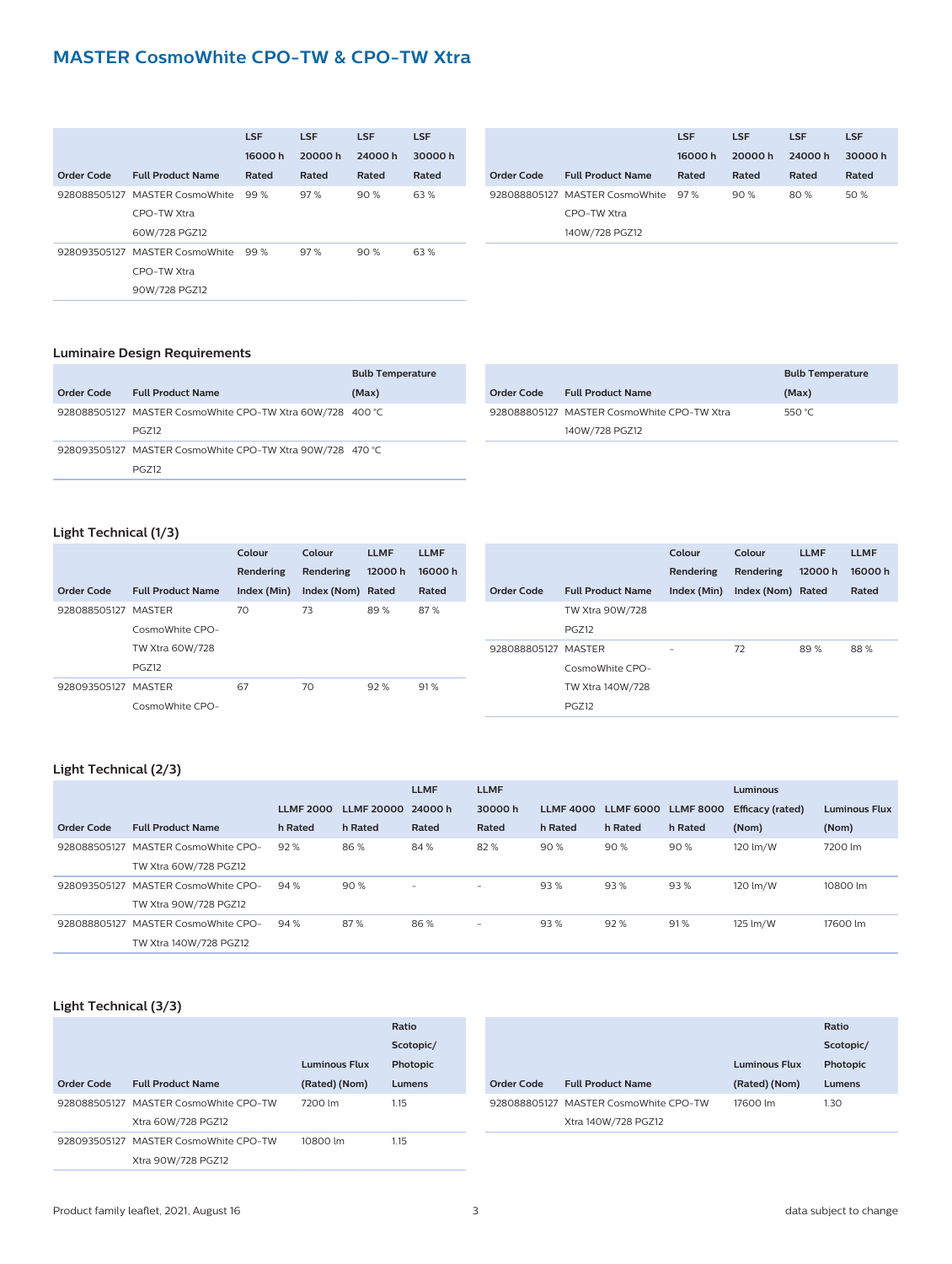### **MASTER CosmoWhite CPO-TW & CPO-TW Xtra**

|                   |                                | <b>LSF</b> | <b>LSF</b> | <b>LSF</b> | <b>LSF</b> |
|-------------------|--------------------------------|------------|------------|------------|------------|
|                   |                                | 16000h     | 20000h     | 24000h     | 30000h     |
| <b>Order Code</b> | <b>Full Product Name</b>       | Rated      | Rated      | Rated      | Rated      |
|                   | 928088505127 MASTER CosmoWhite | 99%        | 97%        | 90%        | 63%        |
|                   | CPO-TW Xtra                    |            |            |            |            |
|                   | 60W/728 PGZ12                  |            |            |            |            |
|                   | 928093505127 MASTER CosmoWhite | 99%        | 97%        | 90%        | 63%        |
|                   | CPO-TW Xtra                    |            |            |            |            |
|                   | 90W/728 PGZ12                  |            |            |            |            |

|            |                                    | <b>LSF</b> | <b>LSF</b> | <b>LSF</b> | <b>LSF</b> |
|------------|------------------------------------|------------|------------|------------|------------|
|            |                                    | 16000h     | 20000 h    | 24000h     | 30000h     |
| Order Code | <b>Full Product Name</b>           | Rated      | Rated      | Rated      | Rated      |
|            | 928088805127 MASTER CosmoWhite 97% |            | 90%        | 80%        | 50 %       |
|            | CPO-TW Xtra                        |            |            |            |            |
|            | 140W/728 PGZ12                     |            |            |            |            |

#### **Luminaire Design Requirements**

|            |                                                           | <b>Bulb Temperature</b> |
|------------|-----------------------------------------------------------|-------------------------|
| Order Code | <b>Full Product Name</b>                                  | (Max)                   |
|            | 928088505127 MASTER CosmoWhite CPO-TW Xtra 60W/728 400 °C |                         |
|            | <b>PGZ12</b>                                              |                         |
|            | 928093505127 MASTER CosmoWhite CPO-TW Xtra 90W/728 470 °C |                         |
|            | <b>PGZ12</b>                                              |                         |

|                   |                                            | <b>Bulb Temperature</b> |
|-------------------|--------------------------------------------|-------------------------|
| <b>Order Code</b> | <b>Full Product Name</b>                   | (Max)                   |
|                   | 928088805127 MASTER CosmoWhite CPO-TW Xtra | 550 $°C$                |
|                   | 140W/728 PGZ12                             |                         |

#### **Light Technical (1/3)**

|                     |                          | Colour      | Colour            | <b>LLMF</b> | <b>LLMF</b> |                     |                          | Colour                   | Colour            | <b>LLMF</b> | <b>LLMF</b> |
|---------------------|--------------------------|-------------|-------------------|-------------|-------------|---------------------|--------------------------|--------------------------|-------------------|-------------|-------------|
|                     |                          | Rendering   | Rendering         | 12000h      | 16000h      |                     |                          | Rendering                | Rendering         | 12000h      | 16000h      |
| Order Code          | <b>Full Product Name</b> | Index (Min) | Index (Nom) Rated |             | Rated       | Order Code          | <b>Full Product Name</b> | Index (Min)              | Index (Nom) Rated |             | Rated       |
| 928088505127 MASTER |                          | 70          | 73                | 89%<br>87%  |             |                     | TW Xtra 90W/728          |                          |                   |             |             |
|                     | CosmoWhite CPO-          |             |                   |             |             |                     | PGZ12                    |                          |                   |             |             |
|                     | TW Xtra 60W/728          |             |                   |             |             | 928088805127 MASTER |                          | $\overline{\phantom{0}}$ | 72                | 89%         | 88%         |
|                     | PGZ12                    |             |                   |             |             |                     | CosmoWhite CPO-          |                          |                   |             |             |
| 928093505127 MASTER |                          | 67          | 70                | 92%         | 91%         |                     | TW Xtra 140W/728         |                          |                   |             |             |
|                     | CosmoWhite CPO-          |             |                   |             |             |                     | PGZ12                    |                          |                   |             |             |

#### **Light Technical (2/3)**

|              |                                     |                  |                    | <b>LLMF</b> | <b>LLMF</b> |                  |                  |                  | <b>Luminous</b>  |                      |
|--------------|-------------------------------------|------------------|--------------------|-------------|-------------|------------------|------------------|------------------|------------------|----------------------|
|              |                                     | <b>LLMF 2000</b> | LLMF 20000 24000 h |             | 30000h      | <b>LLMF 4000</b> | <b>LLMF 6000</b> | <b>LLMF 8000</b> | Efficacy (rated) | <b>Luminous Flux</b> |
| Order Code   | <b>Full Product Name</b>            | h Rated          | h Rated            | Rated       | Rated       | h Rated          | h Rated          | h Rated          | (Nom)            | (Nom)                |
| 928088505127 | <b>MASTER CosmoWhite CPO-</b>       | 92%              | 86%                | 84%         | 82%         | 90%              | 90%              | 90%              | 120 lm/W         | 7200 lm              |
|              | TW Xtra 60W/728 PGZ12               |                  |                    |             |             |                  |                  |                  |                  |                      |
|              | 928093505127 MASTER CosmoWhite CPO- | 94%              | 90%                | $-$         | $-$         | 93%              | 93%              | 93%              | 120 lm/W         | 10800 lm             |
|              | TW Xtra 90W/728 PGZ12               |                  |                    |             |             |                  |                  |                  |                  |                      |
|              | 928088805127 MASTER CosmoWhite CPO- | 94%              | 87%                | 86%         | $-$         | 93%              | 92%              | 91%              | 125 lm/W         | 17600 lm             |
|              | TW Xtra 140W/728 PGZ12              |                  |                    |             |             |                  |                  |                  |                  |                      |

#### **Light Technical (3/3)**

|            |                                       |                      | Ratio     |            |                                       |                      | Ratio     |
|------------|---------------------------------------|----------------------|-----------|------------|---------------------------------------|----------------------|-----------|
|            |                                       |                      | Scotopic/ |            |                                       |                      | Scotopic/ |
|            |                                       | <b>Luminous Flux</b> | Photopic  |            |                                       | <b>Luminous Flux</b> | Photopic  |
| Order Code | <b>Full Product Name</b>              | (Rated) (Nom)        | Lumens    | Order Code | <b>Full Product Name</b>              | (Rated) (Nom)        | Lumens    |
|            | 928088505127 MASTER CosmoWhite CPO-TW | 7200 lm              | 1.15      |            | 928088805127 MASTER CosmoWhite CPO-TW | 17600 lm             | 1.30      |
|            | Xtra 60W/728 PGZ12                    |                      |           |            | Xtra 140W/728 PGZ12                   |                      |           |
|            | 928093505127 MASTER CosmoWhite CPO-TW | 10800 lm             | 1.15      |            |                                       |                      |           |
|            | Xtra 90W/728 PGZ12                    |                      |           |            |                                       |                      |           |
|            |                                       |                      |           |            |                                       |                      |           |